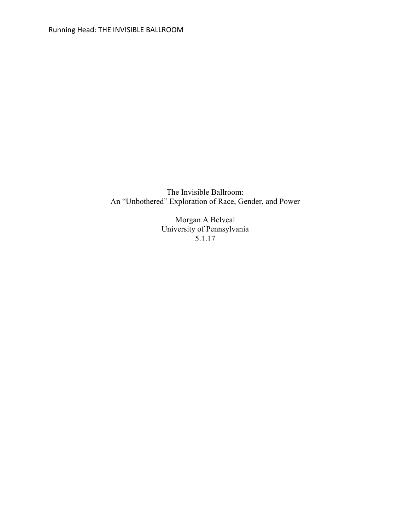The Invisible Ballroom: An "Unbothered" Exploration of Race, Gender, and Power

> Morgan A Belveal University of Pennsylvania 5.1.17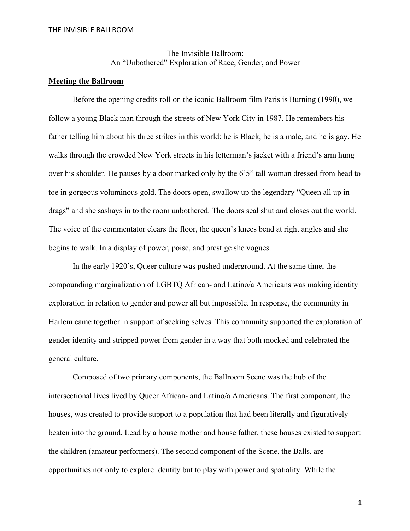The Invisible Ballroom: An "Unbothered" Exploration of Race, Gender, and Power

# **Meeting the Ballroom**

Before the opening credits roll on the iconic Ballroom film Paris is Burning (1990), we follow a young Black man through the streets of New York City in 1987. He remembers his father telling him about his three strikes in this world: he is Black, he is a male, and he is gay. He walks through the crowded New York streets in his letterman's jacket with a friend's arm hung over his shoulder. He pauses by a door marked only by the 6'5" tall woman dressed from head to toe in gorgeous voluminous gold. The doors open, swallow up the legendary "Queen all up in drags" and she sashays in to the room unbothered. The doors seal shut and closes out the world. The voice of the commentator clears the floor, the queen's knees bend at right angles and she begins to walk. In a display of power, poise, and prestige she vogues.

In the early 1920's, Queer culture was pushed underground. At the same time, the compounding marginalization of LGBTQ African- and Latino/a Americans was making identity exploration in relation to gender and power all but impossible. In response, the community in Harlem came together in support of seeking selves. This community supported the exploration of gender identity and stripped power from gender in a way that both mocked and celebrated the general culture.

Composed of two primary components, the Ballroom Scene was the hub of the intersectional lives lived by Queer African- and Latino/a Americans. The first component, the houses, was created to provide support to a population that had been literally and figuratively beaten into the ground. Lead by a house mother and house father, these houses existed to support the children (amateur performers). The second component of the Scene, the Balls, are opportunities not only to explore identity but to play with power and spatiality. While the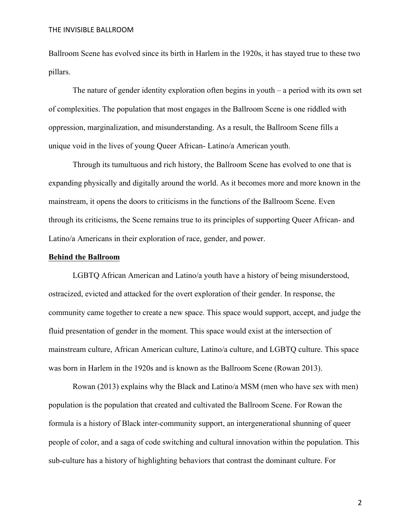Ballroom Scene has evolved since its birth in Harlem in the 1920s, it has stayed true to these two pillars.

The nature of gender identity exploration often begins in youth – a period with its own set of complexities. The population that most engages in the Ballroom Scene is one riddled with oppression, marginalization, and misunderstanding. As a result, the Ballroom Scene fills a unique void in the lives of young Queer African- Latino/a American youth.

Through its tumultuous and rich history, the Ballroom Scene has evolved to one that is expanding physically and digitally around the world. As it becomes more and more known in the mainstream, it opens the doors to criticisms in the functions of the Ballroom Scene. Even through its criticisms, the Scene remains true to its principles of supporting Queer African- and Latino/a Americans in their exploration of race, gender, and power.

#### **Behind the Ballroom**

LGBTQ African American and Latino/a youth have a history of being misunderstood, ostracized, evicted and attacked for the overt exploration of their gender. In response, the community came together to create a new space. This space would support, accept, and judge the fluid presentation of gender in the moment. This space would exist at the intersection of mainstream culture, African American culture, Latino/a culture, and LGBTQ culture. This space was born in Harlem in the 1920s and is known as the Ballroom Scene (Rowan 2013).

Rowan (2013) explains why the Black and Latino/a MSM (men who have sex with men) population is the population that created and cultivated the Ballroom Scene. For Rowan the formula is a history of Black inter-community support, an intergenerational shunning of queer people of color, and a saga of code switching and cultural innovation within the population. This sub-culture has a history of highlighting behaviors that contrast the dominant culture. For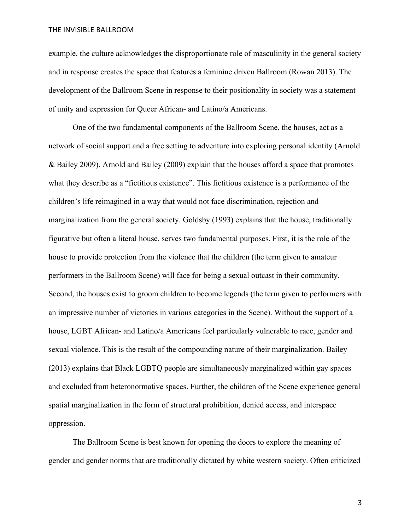example, the culture acknowledges the disproportionate role of masculinity in the general society and in response creates the space that features a feminine driven Ballroom (Rowan 2013). The development of the Ballroom Scene in response to their positionality in society was a statement of unity and expression for Queer African- and Latino/a Americans.

One of the two fundamental components of the Ballroom Scene, the houses, act as a network of social support and a free setting to adventure into exploring personal identity (Arnold & Bailey 2009). Arnold and Bailey (2009) explain that the houses afford a space that promotes what they describe as a "fictitious existence". This fictitious existence is a performance of the children's life reimagined in a way that would not face discrimination, rejection and marginalization from the general society. Goldsby (1993) explains that the house, traditionally figurative but often a literal house, serves two fundamental purposes. First, it is the role of the house to provide protection from the violence that the children (the term given to amateur performers in the Ballroom Scene) will face for being a sexual outcast in their community. Second, the houses exist to groom children to become legends (the term given to performers with an impressive number of victories in various categories in the Scene). Without the support of a house, LGBT African- and Latino/a Americans feel particularly vulnerable to race, gender and sexual violence. This is the result of the compounding nature of their marginalization. Bailey (2013) explains that Black LGBTQ people are simultaneously marginalized within gay spaces and excluded from heteronormative spaces. Further, the children of the Scene experience general spatial marginalization in the form of structural prohibition, denied access, and interspace oppression.

The Ballroom Scene is best known for opening the doors to explore the meaning of gender and gender norms that are traditionally dictated by white western society. Often criticized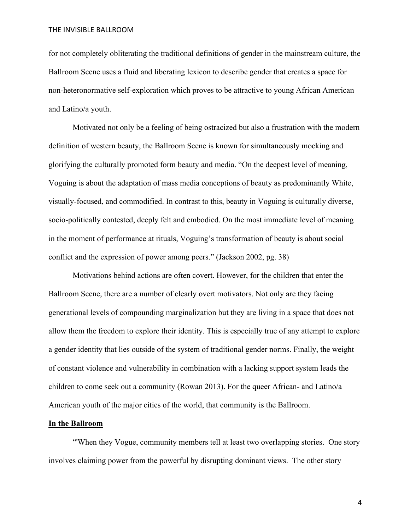for not completely obliterating the traditional definitions of gender in the mainstream culture, the Ballroom Scene uses a fluid and liberating lexicon to describe gender that creates a space for non-heteronormative self-exploration which proves to be attractive to young African American and Latino/a youth.

Motivated not only be a feeling of being ostracized but also a frustration with the modern definition of western beauty, the Ballroom Scene is known for simultaneously mocking and glorifying the culturally promoted form beauty and media. "On the deepest level of meaning, Voguing is about the adaptation of mass media conceptions of beauty as predominantly White, visually-focused, and commodified. In contrast to this, beauty in Voguing is culturally diverse, socio-politically contested, deeply felt and embodied. On the most immediate level of meaning in the moment of performance at rituals, Voguing's transformation of beauty is about social conflict and the expression of power among peers." (Jackson 2002, pg. 38)

Motivations behind actions are often covert. However, for the children that enter the Ballroom Scene, there are a number of clearly overt motivators. Not only are they facing generational levels of compounding marginalization but they are living in a space that does not allow them the freedom to explore their identity. This is especially true of any attempt to explore a gender identity that lies outside of the system of traditional gender norms. Finally, the weight of constant violence and vulnerability in combination with a lacking support system leads the children to come seek out a community (Rowan 2013). For the queer African- and Latino/a American youth of the major cities of the world, that community is the Ballroom.

# **In the Ballroom**

"'When they Vogue, community members tell at least two overlapping stories. One story involves claiming power from the powerful by disrupting dominant views. The other story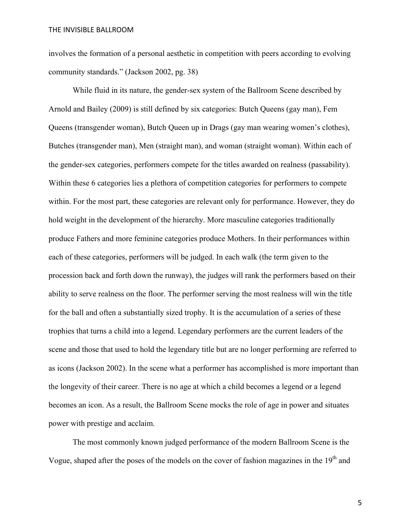involves the formation of a personal aesthetic in competition with peers according to evolving community standards." (Jackson 2002, pg. 38)

While fluid in its nature, the gender-sex system of the Ballroom Scene described by Arnold and Bailey (2009) is still defined by six categories: Butch Queens (gay man), Fem Queens (transgender woman), Butch Queen up in Drags (gay man wearing women's clothes), Butches (transgender man), Men (straight man), and woman (straight woman). Within each of the gender-sex categories, performers compete for the titles awarded on realness (passability). Within these 6 categories lies a plethora of competition categories for performers to compete within. For the most part, these categories are relevant only for performance. However, they do hold weight in the development of the hierarchy. More masculine categories traditionally produce Fathers and more feminine categories produce Mothers. In their performances within each of these categories, performers will be judged. In each walk (the term given to the procession back and forth down the runway), the judges will rank the performers based on their ability to serve realness on the floor. The performer serving the most realness will win the title for the ball and often a substantially sized trophy. It is the accumulation of a series of these trophies that turns a child into a legend. Legendary performers are the current leaders of the scene and those that used to hold the legendary title but are no longer performing are referred to as icons (Jackson 2002). In the scene what a performer has accomplished is more important than the longevity of their career. There is no age at which a child becomes a legend or a legend becomes an icon. As a result, the Ballroom Scene mocks the role of age in power and situates power with prestige and acclaim.

The most commonly known judged performance of the modern Ballroom Scene is the Vogue, shaped after the poses of the models on the cover of fashion magazines in the  $19<sup>th</sup>$  and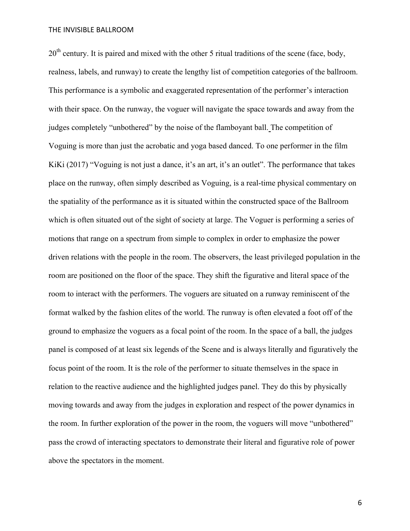$20<sup>th</sup>$  century. It is paired and mixed with the other 5 ritual traditions of the scene (face, body, realness, labels, and runway) to create the lengthy list of competition categories of the ballroom. This performance is a symbolic and exaggerated representation of the performer's interaction with their space. On the runway, the voguer will navigate the space towards and away from the judges completely "unbothered" by the noise of the flamboyant ball. The competition of Voguing is more than just the acrobatic and yoga based danced. To one performer in the film KiKi (2017) "Voguing is not just a dance, it's an art, it's an outlet". The performance that takes place on the runway, often simply described as Voguing, is a real-time physical commentary on the spatiality of the performance as it is situated within the constructed space of the Ballroom which is often situated out of the sight of society at large. The Voguer is performing a series of motions that range on a spectrum from simple to complex in order to emphasize the power driven relations with the people in the room. The observers, the least privileged population in the room are positioned on the floor of the space. They shift the figurative and literal space of the room to interact with the performers. The voguers are situated on a runway reminiscent of the format walked by the fashion elites of the world. The runway is often elevated a foot off of the ground to emphasize the voguers as a focal point of the room. In the space of a ball, the judges panel is composed of at least six legends of the Scene and is always literally and figuratively the focus point of the room. It is the role of the performer to situate themselves in the space in relation to the reactive audience and the highlighted judges panel. They do this by physically moving towards and away from the judges in exploration and respect of the power dynamics in the room. In further exploration of the power in the room, the voguers will move "unbothered" pass the crowd of interacting spectators to demonstrate their literal and figurative role of power above the spectators in the moment.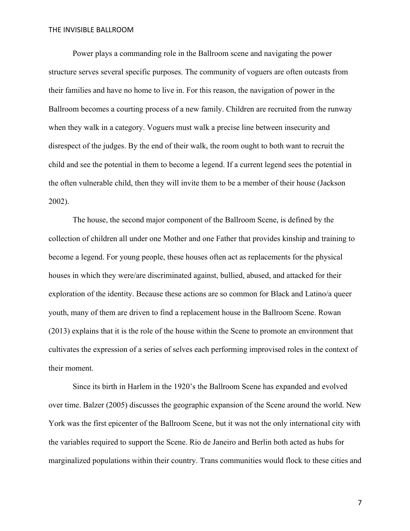Power plays a commanding role in the Ballroom scene and navigating the power structure serves several specific purposes. The community of voguers are often outcasts from their families and have no home to live in. For this reason, the navigation of power in the Ballroom becomes a courting process of a new family. Children are recruited from the runway when they walk in a category. Voguers must walk a precise line between insecurity and disrespect of the judges. By the end of their walk, the room ought to both want to recruit the child and see the potential in them to become a legend. If a current legend sees the potential in the often vulnerable child, then they will invite them to be a member of their house (Jackson 2002).

The house, the second major component of the Ballroom Scene, is defined by the collection of children all under one Mother and one Father that provides kinship and training to become a legend. For young people, these houses often act as replacements for the physical houses in which they were/are discriminated against, bullied, abused, and attacked for their exploration of the identity. Because these actions are so common for Black and Latino/a queer youth, many of them are driven to find a replacement house in the Ballroom Scene. Rowan (2013) explains that it is the role of the house within the Scene to promote an environment that cultivates the expression of a series of selves each performing improvised roles in the context of their moment.

Since its birth in Harlem in the 1920's the Ballroom Scene has expanded and evolved over time. Balzer (2005) discusses the geographic expansion of the Scene around the world. New York was the first epicenter of the Ballroom Scene, but it was not the only international city with the variables required to support the Scene. Rio de Janeiro and Berlin both acted as hubs for marginalized populations within their country. Trans communities would flock to these cities and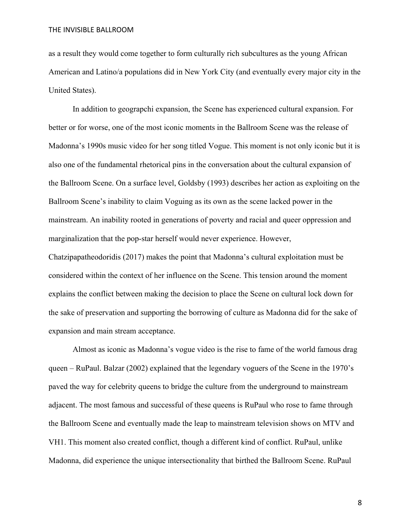as a result they would come together to form culturally rich subcultures as the young African American and Latino/a populations did in New York City (and eventually every major city in the United States).

In addition to geograpchi expansion, the Scene has experienced cultural expansion. For better or for worse, one of the most iconic moments in the Ballroom Scene was the release of Madonna's 1990s music video for her song titled Vogue. This moment is not only iconic but it is also one of the fundamental rhetorical pins in the conversation about the cultural expansion of the Ballroom Scene. On a surface level, Goldsby (1993) describes her action as exploiting on the Ballroom Scene's inability to claim Voguing as its own as the scene lacked power in the mainstream. An inability rooted in generations of poverty and racial and queer oppression and marginalization that the pop-star herself would never experience. However,

Chatzipapatheodoridis (2017) makes the point that Madonna's cultural exploitation must be considered within the context of her influence on the Scene. This tension around the moment explains the conflict between making the decision to place the Scene on cultural lock down for the sake of preservation and supporting the borrowing of culture as Madonna did for the sake of expansion and main stream acceptance.

Almost as iconic as Madonna's vogue video is the rise to fame of the world famous drag queen – RuPaul. Balzar (2002) explained that the legendary voguers of the Scene in the 1970's paved the way for celebrity queens to bridge the culture from the underground to mainstream adjacent. The most famous and successful of these queens is RuPaul who rose to fame through the Ballroom Scene and eventually made the leap to mainstream television shows on MTV and VH1. This moment also created conflict, though a different kind of conflict. RuPaul, unlike Madonna, did experience the unique intersectionality that birthed the Ballroom Scene. RuPaul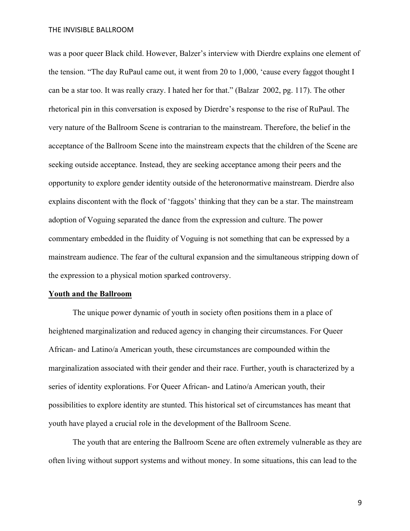was a poor queer Black child. However, Balzer's interview with Dierdre explains one element of the tension. "The day RuPaul came out, it went from 20 to 1,000, 'cause every faggot thought I can be a star too. It was really crazy. I hated her for that." (Balzar 2002, pg. 117). The other rhetorical pin in this conversation is exposed by Dierdre's response to the rise of RuPaul. The very nature of the Ballroom Scene is contrarian to the mainstream. Therefore, the belief in the acceptance of the Ballroom Scene into the mainstream expects that the children of the Scene are seeking outside acceptance. Instead, they are seeking acceptance among their peers and the opportunity to explore gender identity outside of the heteronormative mainstream. Dierdre also explains discontent with the flock of 'faggots' thinking that they can be a star. The mainstream adoption of Voguing separated the dance from the expression and culture. The power commentary embedded in the fluidity of Voguing is not something that can be expressed by a mainstream audience. The fear of the cultural expansion and the simultaneous stripping down of the expression to a physical motion sparked controversy.

#### **Youth and the Ballroom**

The unique power dynamic of youth in society often positions them in a place of heightened marginalization and reduced agency in changing their circumstances. For Queer African- and Latino/a American youth, these circumstances are compounded within the marginalization associated with their gender and their race. Further, youth is characterized by a series of identity explorations. For Queer African- and Latino/a American youth, their possibilities to explore identity are stunted. This historical set of circumstances has meant that youth have played a crucial role in the development of the Ballroom Scene.

The youth that are entering the Ballroom Scene are often extremely vulnerable as they are often living without support systems and without money. In some situations, this can lead to the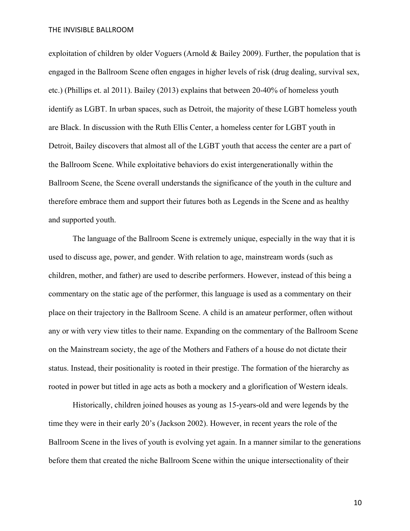exploitation of children by older Voguers (Arnold & Bailey 2009). Further, the population that is engaged in the Ballroom Scene often engages in higher levels of risk (drug dealing, survival sex, etc.) (Phillips et. al 2011). Bailey (2013) explains that between 20-40% of homeless youth identify as LGBT. In urban spaces, such as Detroit, the majority of these LGBT homeless youth are Black. In discussion with the Ruth Ellis Center, a homeless center for LGBT youth in Detroit, Bailey discovers that almost all of the LGBT youth that access the center are a part of the Ballroom Scene. While exploitative behaviors do exist intergenerationally within the Ballroom Scene, the Scene overall understands the significance of the youth in the culture and therefore embrace them and support their futures both as Legends in the Scene and as healthy and supported youth.

The language of the Ballroom Scene is extremely unique, especially in the way that it is used to discuss age, power, and gender. With relation to age, mainstream words (such as children, mother, and father) are used to describe performers. However, instead of this being a commentary on the static age of the performer, this language is used as a commentary on their place on their trajectory in the Ballroom Scene. A child is an amateur performer, often without any or with very view titles to their name. Expanding on the commentary of the Ballroom Scene on the Mainstream society, the age of the Mothers and Fathers of a house do not dictate their status. Instead, their positionality is rooted in their prestige. The formation of the hierarchy as rooted in power but titled in age acts as both a mockery and a glorification of Western ideals.

Historically, children joined houses as young as 15-years-old and were legends by the time they were in their early 20's (Jackson 2002). However, in recent years the role of the Ballroom Scene in the lives of youth is evolving yet again. In a manner similar to the generations before them that created the niche Ballroom Scene within the unique intersectionality of their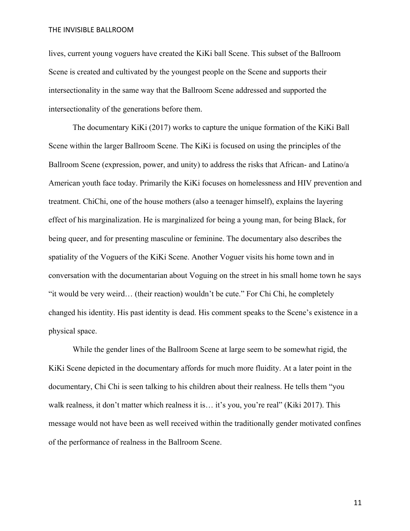lives, current young voguers have created the KiKi ball Scene. This subset of the Ballroom Scene is created and cultivated by the youngest people on the Scene and supports their intersectionality in the same way that the Ballroom Scene addressed and supported the intersectionality of the generations before them.

The documentary KiKi (2017) works to capture the unique formation of the KiKi Ball Scene within the larger Ballroom Scene. The KiKi is focused on using the principles of the Ballroom Scene (expression, power, and unity) to address the risks that African- and Latino/a American youth face today. Primarily the KiKi focuses on homelessness and HIV prevention and treatment. ChiChi, one of the house mothers (also a teenager himself), explains the layering effect of his marginalization. He is marginalized for being a young man, for being Black, for being queer, and for presenting masculine or feminine. The documentary also describes the spatiality of the Voguers of the KiKi Scene. Another Voguer visits his home town and in conversation with the documentarian about Voguing on the street in his small home town he says "it would be very weird… (their reaction) wouldn't be cute." For Chi Chi, he completely changed his identity. His past identity is dead. His comment speaks to the Scene's existence in a physical space.

While the gender lines of the Ballroom Scene at large seem to be somewhat rigid, the KiKi Scene depicted in the documentary affords for much more fluidity. At a later point in the documentary, Chi Chi is seen talking to his children about their realness. He tells them "you walk realness, it don't matter which realness it is… it's you, you're real" (Kiki 2017). This message would not have been as well received within the traditionally gender motivated confines of the performance of realness in the Ballroom Scene.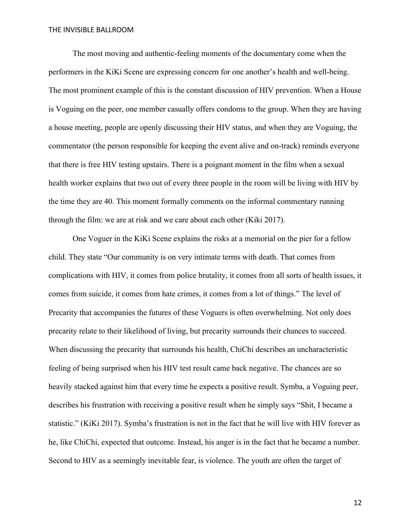The most moving and authentic-feeling moments of the documentary come when the performers in the KiKi Scene are expressing concern for one another's health and well-being. The most prominent example of this is the constant discussion of HIV prevention. When a House is Voguing on the peer, one member casually offers condoms to the group. When they are having a house meeting, people are openly discussing their HIV status, and when they are Voguing, the commentator (the person responsible for keeping the event alive and on-track) reminds everyone that there is free HIV testing upstairs. There is a poignant moment in the film when a sexual health worker explains that two out of every three people in the room will be living with HIV by the time they are 40. This moment formally comments on the informal commentary running through the film: we are at risk and we care about each other (Kiki 2017).

One Voguer in the KiKi Scene explains the risks at a memorial on the pier for a fellow child. They state "Our community is on very intimate terms with death. That comes from complications with HIV, it comes from police brutality, it comes from all sorts of health issues, it comes from suicide, it comes from hate crimes, it comes from a lot of things." The level of Precarity that accompanies the futures of these Voguers is often overwhelming. Not only does precarity relate to their likelihood of living, but precarity surrounds their chances to succeed. When discussing the precarity that surrounds his health, ChiChi describes an uncharacteristic feeling of being surprised when his HIV test result came back negative. The chances are so heavily stacked against him that every time he expects a positive result. Symba, a Voguing peer, describes his frustration with receiving a positive result when he simply says "Shit, I became a statistic." (KiKi 2017). Symba's frustration is not in the fact that he will live with HIV forever as he, like ChiChi, expected that outcome. Instead, his anger is in the fact that he became a number. Second to HIV as a seemingly inevitable fear, is violence. The youth are often the target of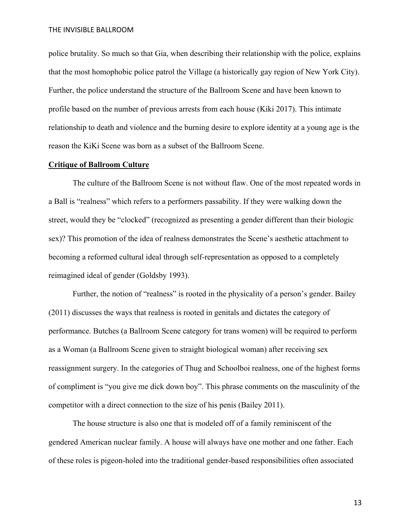police brutality. So much so that Gia, when describing their relationship with the police, explains that the most homophobic police patrol the Village (a historically gay region of New York City). Further, the police understand the structure of the Ballroom Scene and have been known to profile based on the number of previous arrests from each house (Kiki 2017). This intimate relationship to death and violence and the burning desire to explore identity at a young age is the reason the KiKi Scene was born as a subset of the Ballroom Scene.

### **Critique of Ballroom Culture**

The culture of the Ballroom Scene is not without flaw. One of the most repeated words in a Ball is "realness" which refers to a performers passability. If they were walking down the street, would they be "clocked" (recognized as presenting a gender different than their biologic sex)? This promotion of the idea of realness demonstrates the Scene's aesthetic attachment to becoming a reformed cultural ideal through self-representation as opposed to a completely reimagined ideal of gender (Goldsby 1993).

Further, the notion of "realness" is rooted in the physicality of a person's gender. Bailey (2011) discusses the ways that realness is rooted in genitals and dictates the category of performance. Butches (a Ballroom Scene category for trans women) will be required to perform as a Woman (a Ballroom Scene given to straight biological woman) after receiving sex reassignment surgery. In the categories of Thug and Schoolboi realness, one of the highest forms of compliment is "you give me dick down boy". This phrase comments on the masculinity of the competitor with a direct connection to the size of his penis (Bailey 2011).

The house structure is also one that is modeled off of a family reminiscent of the gendered American nuclear family. A house will always have one mother and one father. Each of these roles is pigeon-holed into the traditional gender-based responsibilities often associated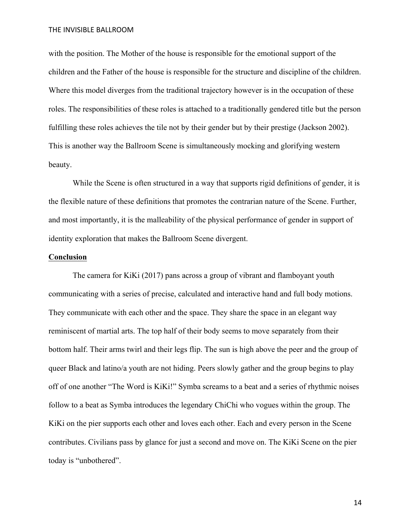with the position. The Mother of the house is responsible for the emotional support of the children and the Father of the house is responsible for the structure and discipline of the children. Where this model diverges from the traditional trajectory however is in the occupation of these roles. The responsibilities of these roles is attached to a traditionally gendered title but the person fulfilling these roles achieves the tile not by their gender but by their prestige (Jackson 2002). This is another way the Ballroom Scene is simultaneously mocking and glorifying western beauty.

While the Scene is often structured in a way that supports rigid definitions of gender, it is the flexible nature of these definitions that promotes the contrarian nature of the Scene. Further, and most importantly, it is the malleability of the physical performance of gender in support of identity exploration that makes the Ballroom Scene divergent.

#### **Conclusion**

The camera for KiKi (2017) pans across a group of vibrant and flamboyant youth communicating with a series of precise, calculated and interactive hand and full body motions. They communicate with each other and the space. They share the space in an elegant way reminiscent of martial arts. The top half of their body seems to move separately from their bottom half. Their arms twirl and their legs flip. The sun is high above the peer and the group of queer Black and latino/a youth are not hiding. Peers slowly gather and the group begins to play off of one another "The Word is KiKi!" Symba screams to a beat and a series of rhythmic noises follow to a beat as Symba introduces the legendary ChiChi who vogues within the group. The KiKi on the pier supports each other and loves each other. Each and every person in the Scene contributes. Civilians pass by glance for just a second and move on. The KiKi Scene on the pier today is "unbothered".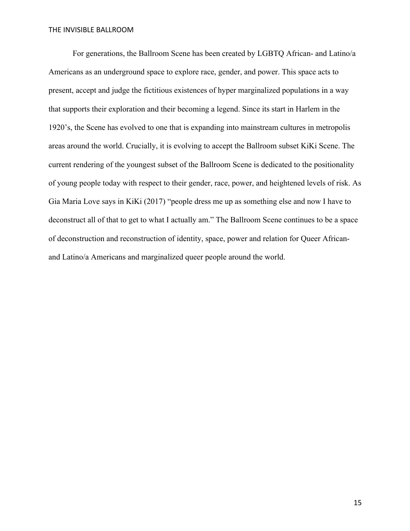For generations, the Ballroom Scene has been created by LGBTQ African- and Latino/a Americans as an underground space to explore race, gender, and power. This space acts to present, accept and judge the fictitious existences of hyper marginalized populations in a way that supports their exploration and their becoming a legend. Since its start in Harlem in the 1920's, the Scene has evolved to one that is expanding into mainstream cultures in metropolis areas around the world. Crucially, it is evolving to accept the Ballroom subset KiKi Scene. The current rendering of the youngest subset of the Ballroom Scene is dedicated to the positionality of young people today with respect to their gender, race, power, and heightened levels of risk. As Gia Maria Love says in KiKi (2017) "people dress me up as something else and now I have to deconstruct all of that to get to what I actually am." The Ballroom Scene continues to be a space of deconstruction and reconstruction of identity, space, power and relation for Queer Africanand Latino/a Americans and marginalized queer people around the world.